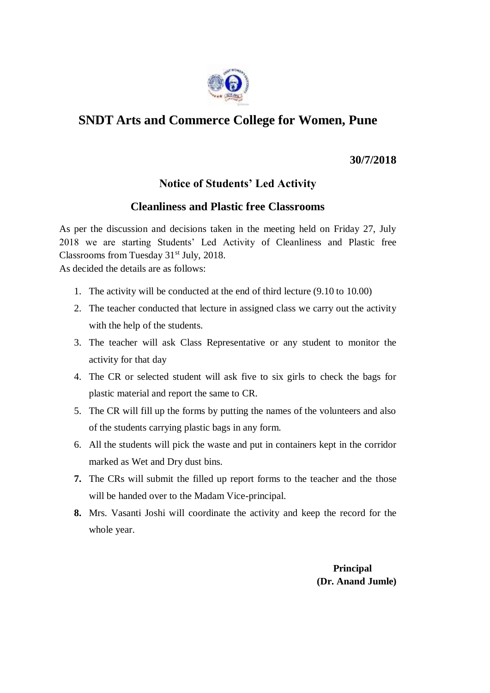

## **SNDT Arts and Commerce College for Women, Pune**

**30/7/2018**

## **Notice of Students' Led Activity**

## **Cleanliness and Plastic free Classrooms**

As per the discussion and decisions taken in the meeting held on Friday 27, July 2018 we are starting Students' Led Activity of Cleanliness and Plastic free Classrooms from Tuesday 31<sup>st</sup> July, 2018.

As decided the details are as follows:

- 1. The activity will be conducted at the end of third lecture (9.10 to 10.00)
- 2. The teacher conducted that lecture in assigned class we carry out the activity with the help of the students.
- 3. The teacher will ask Class Representative or any student to monitor the activity for that day
- 4. The CR or selected student will ask five to six girls to check the bags for plastic material and report the same to CR.
- 5. The CR will fill up the forms by putting the names of the volunteers and also of the students carrying plastic bags in any form.
- 6. All the students will pick the waste and put in containers kept in the corridor marked as Wet and Dry dust bins.
- **7.** The CRs will submit the filled up report forms to the teacher and the those will be handed over to the Madam Vice-principal.
- **8.** Mrs. Vasanti Joshi will coordinate the activity and keep the record for the whole year.

 **Principal (Dr. Anand Jumle)**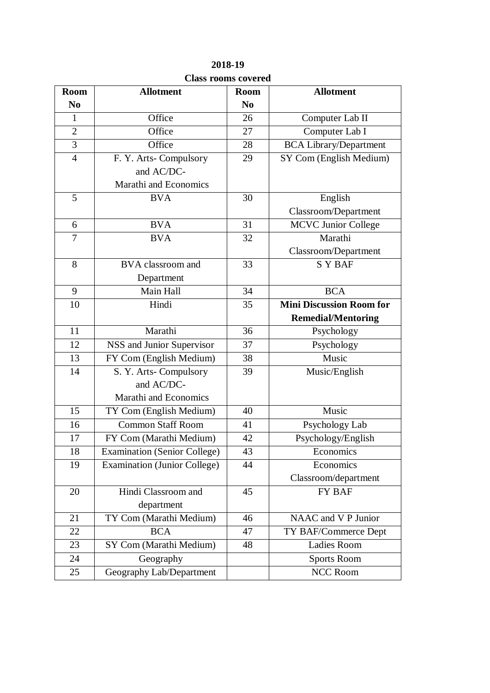| <b>Room</b>    | <b>Allotment</b>                    | <b>Room</b>    | <b>Allotment</b>                |  |  |
|----------------|-------------------------------------|----------------|---------------------------------|--|--|
| N <sub>0</sub> |                                     | N <sub>0</sub> |                                 |  |  |
| $\mathbf{1}$   | Office                              | 26             | Computer Lab II                 |  |  |
| $\overline{2}$ | Office                              | 27             | Computer Lab I                  |  |  |
| $\overline{3}$ | Office                              | 28             | <b>BCA Library/Department</b>   |  |  |
| $\overline{4}$ | F. Y. Arts-Compulsory               | 29             | SY Com (English Medium)         |  |  |
|                | and AC/DC-                          |                |                                 |  |  |
|                | Marathi and Economics               |                |                                 |  |  |
| 5              | <b>BVA</b>                          | 30             | English                         |  |  |
|                |                                     |                | Classroom/Department            |  |  |
| 6              | <b>BVA</b>                          | 31             | <b>MCVC Junior College</b>      |  |  |
| 7              | <b>BVA</b>                          | 32             | Marathi                         |  |  |
|                |                                     |                | Classroom/Department            |  |  |
| 8              | BVA classroom and                   | 33             | <b>SYBAF</b>                    |  |  |
|                | Department                          |                |                                 |  |  |
| 9              | Main Hall                           | 34             | <b>BCA</b>                      |  |  |
| 10             | Hindi                               | 35             | <b>Mini Discussion Room for</b> |  |  |
|                |                                     |                | <b>Remedial/Mentoring</b>       |  |  |
| 11             | Marathi                             | 36             | Psychology                      |  |  |
| 12             | NSS and Junior Supervisor           | 37             | Psychology                      |  |  |
| 13             | FY Com (English Medium)             | 38             | Music                           |  |  |
| 14             | S. Y. Arts-Compulsory               | 39             | Music/English                   |  |  |
|                | and AC/DC-                          |                |                                 |  |  |
|                | Marathi and Economics               |                |                                 |  |  |
| 15             | TY Com (English Medium)             | 40             | Music                           |  |  |
| 16             | <b>Common Staff Room</b>            | 41             | Psychology Lab                  |  |  |
| 17             | FY Com (Marathi Medium)             | 42             | Psychology/English              |  |  |
| 18             | <b>Examination (Senior College)</b> | 43             | Economics                       |  |  |
| 19             | <b>Examination (Junior College)</b> | 44             | Economics                       |  |  |
|                |                                     |                | Classroom/department            |  |  |
| 20             | Hindi Classroom and                 | 45             | FY BAF                          |  |  |
|                | department                          |                |                                 |  |  |
| 21             | TY Com (Marathi Medium)             | 46             | NAAC and V P Junior             |  |  |
| 22             | <b>BCA</b>                          | 47             | TY BAF/Commerce Dept            |  |  |
| 23             | SY Com (Marathi Medium)             | 48             | Ladies Room                     |  |  |
| 24             | Geography                           |                | <b>Sports Room</b>              |  |  |
| 25             | Geography Lab/Department            |                | <b>NCC Room</b>                 |  |  |

**2018-19 Class rooms covered**